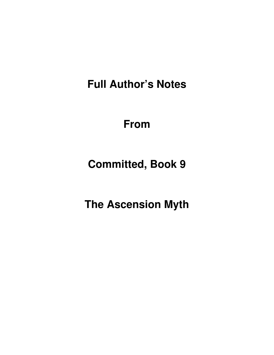**Full Author's Notes** 

**From**

**Committed, Book 9** 

**The Ascension Myth**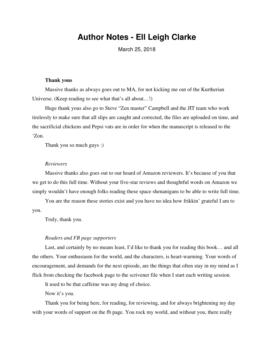# **Author Notes - Ell Leigh Clarke**

March 25, 2018

#### **Thank yous**

Massive thanks as always goes out to MA, for not kicking me out of the Kurtherian Universe. (Keep reading to see what that's all about…!)

Huge thank yous also go to Steve "Zen master" Campbell and the JIT team who work tirelessly to make sure that all slips are caught and corrected, the files are uploaded on time, and the sacrificial chickens and Pepsi vats are in order for when the manuscript is released to the 'Zon.

Thank you so much guys :)

## *Reviewers*

Massive thanks also goes out to our hoard of Amazon reviewers. It's because of you that we get to do this full time. Without your five-star reviews and thoughtful words on Amazon we simply wouldn't have enough folks reading these space shenanigans to be able to write full time.

You are the reason these stories exist and you have no idea how frikkin' grateful I am to you.

Truly, thank you.

#### *Readers and FB page supporters*

Last, and certainly by no means least, I'd like to thank you for reading this book… and all the others. Your enthusiasm for the world, and the characters, is heart-warming. Your words of encouragement, and demands for the next episode, are the things that often stay in my mind as I flick from checking the facebook page to the scrivener file when I start each writing session.

It used to be that caffeine was my drug of choice.

Now it's you.

Thank you for being here, for reading, for reviewing, and for always brightening my day with your words of support on the fb page. You rock my world, and without you, there really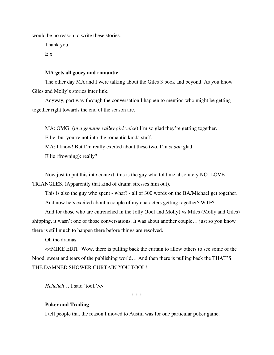would be no reason to write these stories.

Thank you.

E x

## **MA gets all gooey and romantic**

The other day MA and I were talking about the Giles 3 book and beyond. As you know Giles and Molly's stories inter link.

Anyway, part way through the conversation I happen to mention who might be getting together right towards the end of the season arc.

MA: OMG! (*in a genuine valley girl voice*) I'm so glad they're getting together. Ellie: but you're not into the romantic kinda stuff. MA: I know! But I'm really excited about these two. I'm *soooo* glad. Ellie (frowning): really?

Now just to put this into context, this is the guy who told me absolutely NO. LOVE. TRIANGLES. (Apparently that kind of drama stresses him out).

This is also the guy who spent - what? - all of 300 words on the BA/Michael get together. And now he's excited about a couple of my characters getting together? WTF?

And for those who are entrenched in the Jolly (Joel and Molly) vs Miles (Molly and Giles) shipping, it wasn't one of those conversations. It was about another couple… just so you know there is still much to happen there before things are resolved.

Oh the dramas.

<<MIKE EDIT: Wow, there is pulling back the curtain to allow others to see some of the blood, sweat and tears of the publishing world… And then there is pulling back the THAT'S THE DAMNED SHOWER CURTAIN YOU TOOL!

*Heheheh*… I said 'tool.'>>

\* \* \*

## **Poker and Trading**

I tell people that the reason I moved to Austin was for one particular poker game.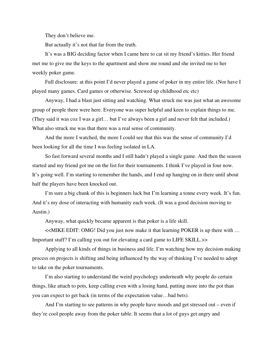They don't believe me.

But actually it's not that far from the truth.

It's was a BIG deciding factor when I came here to cat sit my friend's kitties. Her friend met me to give me the keys to the apartment and show me round and she invited me to her weekly poker game.

Full disclosure: at this point I'd never played a game of poker in my entire life. (Nor have I played many games. Card games or otherwise. Screwed up childhood etc etc)

Anyway, I had a blast just sitting and watching. What struck me was just what an awesome group of people there were here. Everyone was super helpful and keen to explain things to me. (They said it was coz I was a girl… but I've always been a girl and never felt that included.) What also struck me was that there was a real sense of community.

And the more I watched, the more I could see that this was the sense of community I'd been looking for all the time I was feeling isolated in LA.

So fast forward several months and I still hadn't played a single game. And then the season started and my friend got me on the list for their tournaments. I think I've played in four now. It's going well. I'm starting to remember the hands, and I end up hanging on in there until about half the players have been knocked out.

I'm sure a big chunk of this is beginners luck but I'm learning a tonne every week. It's fun. And it's my dose of interacting with humanity each week. (It was a good decision moving to Austin.)

Anyway, what quickly became apparent is that poker is a life skill.

<<MIKE EDIT: OMG! Did you just now make it that learning POKER is up there with … Important stuff? I'm calling you out for elevating a card game to LIFE SKILL.>>

Applying to all kinds of things in business and life. I'm watching how my decision-making process on projects is shifting and being influenced by the way of thinking I've needed to adopt to take on the poker tournaments.

I'm also starting to understand the weird psychology underneath why people do certain things, like attach to pots, keep calling even with a losing hand, putting more into the pot than you can expect to get back (in terms of the expectation value…bad bets).

And I'm starting to see patterns in why people have moods and get stressed out – even if they're cool people away from the poker table. It seems that a lot of guys get angry and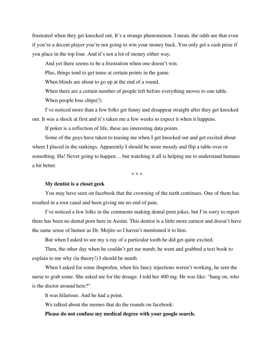frustrated when they get knocked out. It's a strange phenomenon. I mean, the odds are that even if you're a decent player you're not going to win your money back. You only get a cash prize if you place in the top four. And it's not a lot of money either way.

And yet there seems to be a frustration when one doesn't win.

Plus, things tend to get tense at certain points in the game.

When blinds are about to go up at the end of a round.

When there are a certain number of people left before everything moves to one table.

When people lose chips(!)

I've noticed more than a few folks get funny and disappear straight after they get knocked out. It was a shock at first and it's taken me a few weeks to expect it when it happens.

If poker is a reflection of life, these are interesting data points.

Some of the guys have taken to teasing me when I get knocked out and get excited about where I placed in the rankings. Apparently I should be more moody and flip a table over or something. Ha! Never going to happen… but watching it all is helping me to understand humans a bit better.

\* \* \*

#### **My dentist is a closet geek**

You may have seen on facebook that the crowning of the teeth continues. One of them has resulted in a root canal and been giving me no end of pain.

I've noticed a few folks in the comments making dental porn jokes, but I'm sorry to report there has been no dental porn here in Austin. This dentist is a little more earnest and doesn't have the same sense of humor as Dr. Mojito so I haven't mentioned it to him.

But when I asked to see my x-ray of a particular tooth he did get quite excited.

Then, the other day when he couldn't get me numb, he went and grabbed a text book to explain to me why (in theory!) I should be numb.

When I asked for some ibuprofen, when his fancy injections weren't working, he sent the nurse to grab some. She asked me for the dosage. I told her 400 mg. He was like: "hang on, who is the doctor around here?"

It was hilarious. And he had a point.

We talked about the memes that do the rounds on facebook:

## **Please do not confuse my medical degree with your google search.**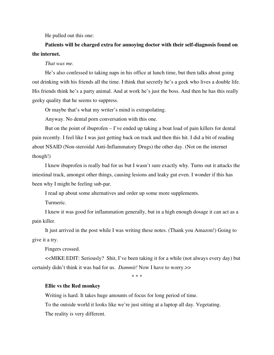He pulled out this one:

**Patients will be charged extra for annoying doctor with their self-diagnosis found on the internet.** 

#### *That was me.*

He's also confessed to taking naps in his office at lunch time, but then talks about going out drinking with his friends all the time. I think that secretly he's a geek who lives a double life. His friends think he's a party animal. And at work he's just the boss. And then he has this really geeky quality that he seems to suppress.

Or maybe that's what my writer's mind is extrapolating.

Anyway. No dental porn conversation with this one.

But on the point of ibuprofen  $-$  I've ended up taking a boat load of pain killers for dental pain recently. I feel like I was just getting back on track and then this hit. I did a bit of reading about NSAID (Non-steroidal Anti-Inflammatory Drugs) the other day. (Not on the internet though!)

I knew ibuprofen is really bad for us but I wasn't sure exactly why. Turns out it attacks the intestinal track, amongst other things, causing lesions and leaky gut even. I wonder if this has been why I might be feeling sub-par.

I read up about some alternatives and order up some more supplements.

Turmeric.

I knew it was good for inflammation generally, but in a high enough dosage it can act as a pain killer.

It just arrived in the post while I was writing these notes. (Thank you Amazon!) Going to give it a try.

Fingers crossed.

<<MIKE EDIT: Seriously? Shit, I've been taking it for a while (not always every day) but certainly didn't think it was bad for us. *Dammit!* Now I have to worry.>>

\* \* \*

## **Ellie vs the Red monkey**

Writing is hard. It takes huge amounts of focus for long period of time.

To the outside world it looks like we're just sitting at a laptop all day. Vegetating.

The reality is very different.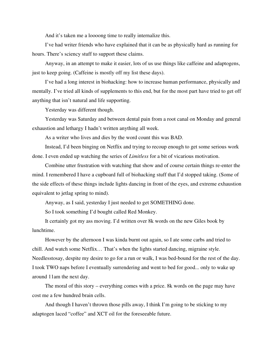And it's taken me a loooong time to really internalize this.

I've had writer friends who have explained that it can be as physically hard as running for hours. There's sciency stuff to support these claims.

Anyway, in an attempt to make it easier, lots of us use things like caffeine and adaptogens, just to keep going. (Caffeine is mostly off my list these days).

I've had a long interest in biohacking: how to increase human performance, physically and mentally. I've tried all kinds of supplements to this end, but for the most part have tried to get off anything that isn't natural and life supporting.

Yesterday was different though.

Yesterday was Saturday and between dental pain from a root canal on Monday and general exhaustion and lethargy I hadn't written anything all week.

As a writer who lives and dies by the word count this was BAD.

Instead, I'd been binging on Netflix and trying to recoup enough to get some serious work done. I even ended up watching the series of *Limitless* for a bit of vicarious motivation.

Combine utter frustration with watching that show and of course certain things re-enter the mind. I remembered I have a cupboard full of biohacking stuff that I'd stopped taking. (Some of the side effects of these things include lights dancing in front of the eyes, and extreme exhaustion equivalent to jetlag spring to mind).

Anyway, as I said, yesterday I just needed to get SOMETHING done.

So I took something I'd bought called Red Monkey.

It certainly got my ass moving. I'd written over 8k words on the new Giles book by lunchtime.

However by the afternoon I was kinda burnt out again, so I ate some carbs and tried to chill. And watch some Netflix… That's when the lights started dancing, migraine style. Needlesstosay, despite my desire to go for a run or walk, I was bed-bound for the rest of the day. I took TWO naps before I eventually surrendering and went to bed for good... only to wake up around 11am the next day.

The moral of this story – everything comes with a price. 8k words on the page may have cost me a few hundred brain cells.

And though I haven't thrown those pills away, I think I'm going to be sticking to my adaptogen laced "coffee" and XCT oil for the foreseeable future.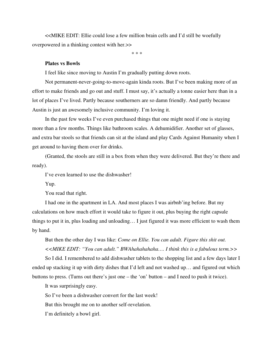<<MIKE EDIT: Ellie could lose a few million brain cells and I'd still be woefully overpowered in a thinking contest with her.>>

\* \* \*

### **Plates vs Bowls**

I feel like since moving to Austin I'm gradually putting down roots.

Not permanent-never-going-to-move-again kinda roots. But I've been making more of an effort to make friends and go out and stuff. I must say, it's actually a tonne easier here than in a lot of places I've lived. Partly because southerners are so damn friendly. And partly because Austin is just an awesomely inclusive community. I'm loving it.

In the past few weeks I've even purchased things that one might need if one is staying more than a few months. Things like bathroom scales. A dehumidifier. Another set of glasses, and extra bar stools so that friends can sit at the island and play Cards Against Humanity when I get around to having them over for drinks.

(Granted, the stools are still in a box from when they were delivered. But they're there and ready).

I've even learned to use the dishwasher!

Yup.

You read that right.

I had one in the apartment in LA. And most places I was airbnb'ing before. But my calculations on how much effort it would take to figure it out, plus buying the right capsule things to put it in, plus loading and unloading… I just figured it was more efficient to wash them by hand.

But then the other day I was like: *Come on Ellie. You can adult. Figure this shit out. <<MIKE EDIT: "You can adult." BWAhahahahaha…. I think this is a fabulous term.>>*

So I did. I remembered to add dishwasher tablets to the shopping list and a few days later I ended up stacking it up with dirty dishes that I'd left and not washed up… and figured out which buttons to press. (Turns out there's just one – the 'on' button – and I need to push it twice).

It was surprisingly easy.

So I've been a dishwasher convert for the last week!

But this brought me on to another self-revelation.

I'm definitely a bowl girl.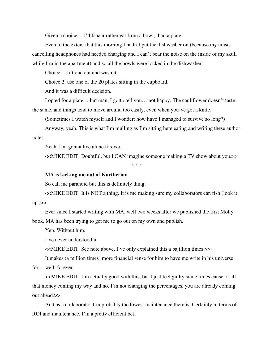Given a choice… I'd faaaar rather eat from a bowl, than a plate.

Even to the extent that this morning I hadn't put the dishwasher on (because my noise cancelling headphones had needed charging and I can't bear the noise on the inside of my skull while I'm in the apartment) and so all the bowls were locked in the dishwasher.

Choice 1: lift one out and wash it.

Choice 2: use one of the 20 plates sitting in the cupboard.

And it was a difficult decision.

I opted for a plate… but man, I gotto tell you… not happy. The cauliflower doesn't taste the same, and things tend to move around too easily, even when you've got a knife.

(Sometimes I watch myself and I wonder: how have I managed to survive so long?)

Anyway, yeah. This is what I'm mulling as I'm sitting here eating and writing these author notes.

Yeah, I'm gonna live alone forever...

<<MIKE EDIT: Doubtful, but I CAN imagine someone making a TV show about you.>>

\* \* \*

## **MA is kicking me out of Kurtherian**

So call me paranoid but this is definitely thing.

<<MIKE EDIT: It is NOT a thing. It is me making sure my collaborators can fish (look it up.)>>

Ever since I started writing with MA, well two weeks after we published the first Molly book, MA has been trying to get me to go out on my own and publish.

Yep. Without him.

I've never understood it.

<<MIKE EDIT: See note above, I've only explained this a bajillion times.>>

It makes (a million times) more financial sense for him to have me write in his universe for… well, forever.

<<MIKE EDIT: I'm actually good with this, but I just feel guilty some times cause of all that money coming my way and no, I'm not changing the percentages, you are already coming out ahead.>>

And as a collaborator I'm probably the lowest maintenance there is. Certainly in terms of ROI and maintenance, I'm a pretty efficient bet.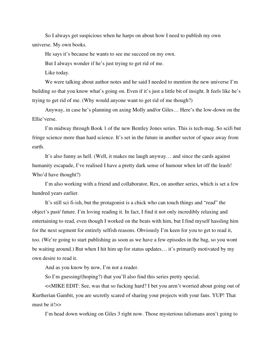So I always get suspicious when he harps on about how I need to publish my own universe. My own books.

He says it's because he wants to see me succeed on my own.

But I always wonder if he's just trying to get rid of me.

Like today.

We were talking about author notes and he said I needed to mention the new universe I'm building so that you know what's going on. Even if it's just a little bit of insight. It feels like he's trying to get rid of me. (Why would anyone want to get rid of me though?)

Anyway, in case he's planning on axing Molly and/or Giles… Here's the low-down on the Ellie'verse.

I'm midway through Book 1 of the new Bentley Jones series. This is tech-mag. So scifi but fringe science more than hard science. It's set in the future in another sector of space away from earth.

It's also funny as hell. (Well, it makes me laugh anyway… and since the cards against humanity escapade, I've realised I have a pretty dark sense of humour when let off the leash! Who'd have thought?)

I'm also working with a friend and collaborator, Rex, on another series, which is set a few hundred years earlier.

It's still sci fi-ish, but the protagonist is a chick who can touch things and "read" the object's past/ future. I'm loving reading it. In fact, I find it not only incredibly relaxing and entertaining to read, even though I worked on the beats with him, but I find myself hassling him for the next segment for entirely selfish reasons. Obviously I'm keen for you to get to read it, too. (We're going to start publishing as soon as we have a few episodes in the bag, so you wont be waiting around.) But when I hit him up for status updates… it's primarily motivated by my own desire to read it.

And as you know by now, I'm not a reader.

So I'm guessing/(hoping?) that you'll also find this series pretty special.

<<MIKE EDIT: See, was that so fucking hard? I bet you aren't worried about going out of Kurtherian Gambit, you are secretly scared of sharing your projects with your fans. YUP! That must be it!>>

I'm head down working on Giles 3 right now. Those mysterious talismans aren't going to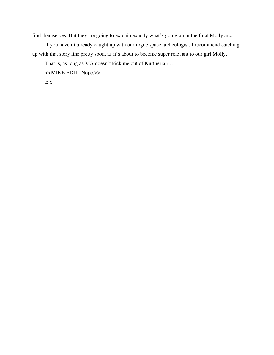find themselves. But they are going to explain exactly what's going on in the final Molly arc.

If you haven't already caught up with our rogue space archeologist, I recommend catching up with that story line pretty soon, as it's about to become super relevant to our girl Molly.

That is, as long as MA doesn't kick me out of Kurtherian…

<<MIKE EDIT: Nope.>>

E x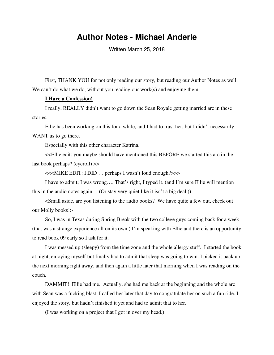# **Author Notes - Michael Anderle**

Written March 25, 2018

First, THANK YOU for not only reading our story, but reading our Author Notes as well. We can't do what we do, without you reading our work(s) and enjoying them.

## **I Have a Confession!**

I really, REALLY didn't want to go down the Sean Royale getting married arc in these stories.

Ellie has been working on this for a while, and I had to trust her, but I didn't necessarily WANT us to go there.

Especially with this other character Katrina.

<<Ellie edit: you maybe should have mentioned this BEFORE we started this arc in the last book perhaps? (eyeroll) >>

<<<MIKE EDIT: I DID … perhaps I wasn't loud enough?>>>

I have to admit; I was wrong…. That's right, I typed it. (and I'm sure Ellie will mention this in the audio notes again… (Or stay very quiet like it isn't a big deal.))

<Small aside, are you listening to the audio books? We have quite a few out, check out our Molly books!>

So, I was in Texas during Spring Break with the two college guys coming back for a week (that was a strange experience all on its own.) I'm speaking with Ellie and there is an opportunity to read book 09 early so I ask for it.

I was messed up (sleepy) from the time zone and the whole allergy stuff. I started the book at night, enjoying myself but finally had to admit that sleep was going to win. I picked it back up the next morning right away, and then again a little later that morning when I was reading on the couch.

DAMMIT! Ellie had me. Actually, she had me back at the beginning and the whole arc with Sean was a fucking blast. I called her later that day to congratulate her on such a fun ride. I enjoyed the story, but hadn't finished it yet and had to admit that to her.

(I was working on a project that I got in over my head.)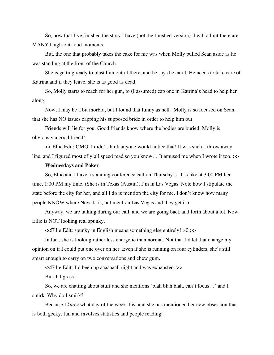So, now that I've finished the story I have (not the finished version). I will admit there are MANY laugh-out-loud moments.

But, the one that probably takes the cake for me was when Molly pulled Sean aside as he was standing at the front of the Church.

She is getting ready to blast him out of there, and he says he can't. He needs to take care of Katrina and if they leave, she is as good as dead.

So, Molly starts to reach for her gun, to (I assumed) cap one in Katrina's head to help her along.

Now, I may be a bit morbid, but I found that funny as hell. Molly is so focused on Sean, that she has NO issues capping his supposed bride in order to help him out.

Friends will lie for you. Good friends know where the bodies are buried. Molly is obviously a good friend!

<< Ellie Edit: OMG. I didn't think anyone would notice that! It was such a throw away line, and I figured most of y'all speed read so you know... It amused me when I wrote it too. >>

## **Wednesdays and Poker**

So, Ellie and I have a standing conference call on Thursday's. It's like at 3:00 PM her time, 1:00 PM my time. (She is in Texas (Austin), I'm in Las Vegas. Note how I stipulate the state before the city for her, and all I do is mention the city for me. I don't know how many people KNOW where Nevada is, but mention Las Vegas and they get it.)

Anyway, we are talking during our call, and we are going back and forth about a lot. Now, Ellie is NOT looking real spunky.

<<Ellie Edit: spunky in English means something else entirely! :-0 >>

In fact, she is looking rather less energetic than normal. Not that I'd let that change my opinion on if I could put one over on her. Even if she is running on four cylinders, she's still smart enough to carry on two conversations and chew gum.

<<Ellie Edit: I'd been up aaaaaaall night and was exhausted. >>

But, I digress.

So, we are chatting about stuff and she mentions 'blah blah blah, can't focus…' and I smirk. Why do I smirk?

Because I *know* what day of the week it is, and she has mentioned her new obsession that is both geeky, fun and involves statistics and people reading.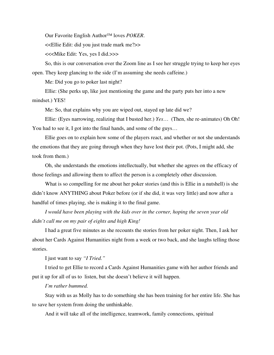Our Favorite English Author™ loves *POKER*.

<<Ellie Edit: did you just trade mark me?>>

<<<Mike Edit: Yes, yes I did.>>>

So, this is our conversation over the Zoom line as I see her struggle trying to keep her eyes open. They keep glancing to the side (I'm assuming she needs caffeine.)

Me: Did you go to poker last night?

Ellie: (She perks up, like just mentioning the game and the party puts her into a new mindset.) YES!

Me: So, that explains why you are wiped out, stayed up late did we?

Ellie: (Eyes narrowing, realizing that I busted her.) *Yes*… (Then, she re-animates) Oh Oh! You had to see it, I got into the final hands, and some of the guys...

Ellie goes on to explain how some of the players react, and whether or not she understands the emotions that they are going through when they have lost their pot. (Pots, I might add, she took from them.)

Oh, she understands the emotions intellectually, but whether she agrees on the efficacy of those feelings and allowing them to affect the person is a completely other discussion.

What is so compelling for me about her poker stories (and this is Ellie in a nutshell) is she didn't know ANYTHING about Poker before (or if she did, it was very little) and now after a handful of times playing, she is making it to the final game.

*I would have been playing with the kids over in the corner, hoping the seven year old didn't call me on my pair of eights and high King!*

I had a great five minutes as she recounts the stories from her poker night. Then, I ask her about her Cards Against Humanities night from a week or two back, and she laughs telling those stories.

I just want to say *"I Tried."*

I tried to get Ellie to record a Cards Against Humanities game with her author friends and put it up for all of us to listen, but she doesn't believe it will happen.

*I'm rather bummed.*

Stay with us as Molly has to do something she has been training for her entire life. She has to save her system from doing the unthinkable.

And it will take all of the intelligence, teamwork, family connections, spiritual